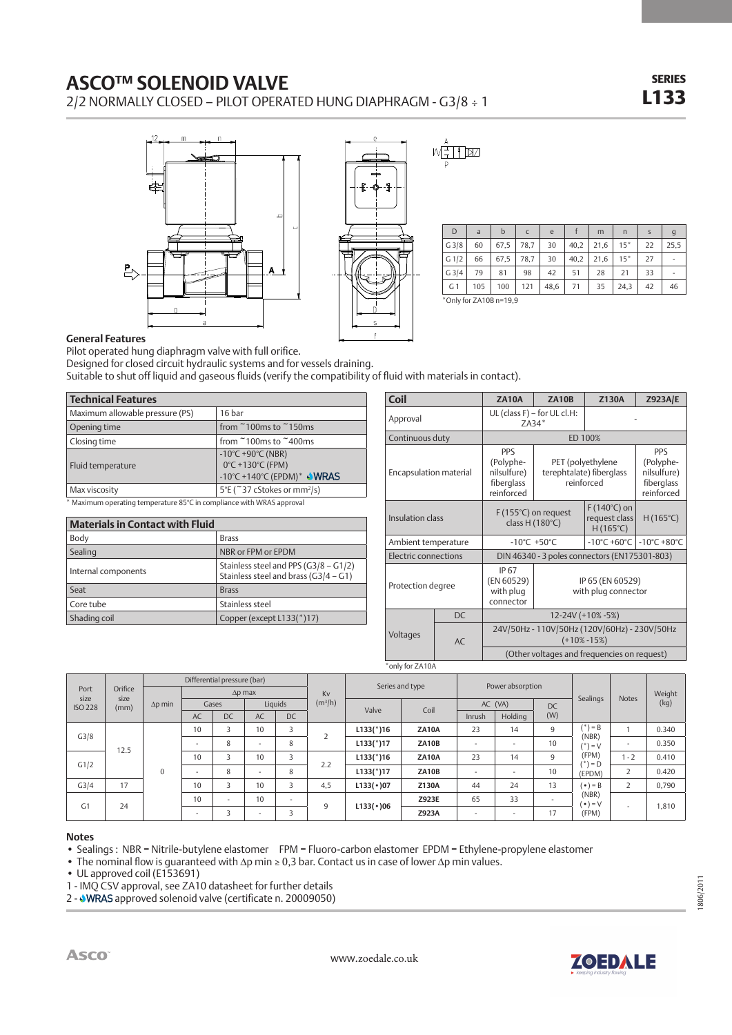## **ASCO™ SOLENOID VALVE**

2/2 NORMALLY CLOSED – PILOT OPERATED HUNG DIAPHRAGM - G3/8 ÷ 1

SERIES L133





 $\overline{\mathcal{T}}$   $\boxtimes$ 

| D                         | a   | b    | C    | e    |      | m    | $\mathsf{n}$ | $\mathsf{S}$ | $\mathsf{g}$ |
|---------------------------|-----|------|------|------|------|------|--------------|--------------|--------------|
| G3/8                      | 60  | 67,5 | 78.7 | 30   | 40,2 | 21.6 | $15*$        | 22           | 25.5         |
| G <sub>1/2</sub>          | 66  | 67,5 | 78,7 | 30   | 40,2 | 21.6 | $15*$        | 27           | ۰            |
| $G$ 3/4                   | 79  | 81   | 98   | 42   | 51   | 28   | 21           | 33           |              |
| G <sub>1</sub>            | 105 | 100  | 121  | 48,6 | 71   | 35   | 24,3         | 42           | 46           |
| $*$ Only for ZA10B n=19,9 |     |      |      |      |      |      |              |              |              |

**General Features**

Pilot operated hung diaphragm valve with full orifice.

Designed for closed circuit hydraulic systems and for vessels draining.

Suitable to shut off liquid and gaseous fluids (verify the compatibility of fluid with materials in contact).

| <b>Technical Features</b>                                                     |                                                                                                               |  |  |  |  |  |  |  |
|-------------------------------------------------------------------------------|---------------------------------------------------------------------------------------------------------------|--|--|--|--|--|--|--|
| Maximum allowable pressure (PS)                                               | 16 bar                                                                                                        |  |  |  |  |  |  |  |
| Opening time                                                                  | from $\degree$ 100ms to $\degree$ 150ms                                                                       |  |  |  |  |  |  |  |
| Closing time                                                                  | from $\degree$ 100ms to $\degree$ 400ms                                                                       |  |  |  |  |  |  |  |
| Fluid temperature                                                             | $-10^{\circ}$ C +90 $^{\circ}$ C (NBR)<br>0°C +130°C (FPM)<br>-10°C +140°C (EPDM) <sup>*</sup> $\bigvee$ WRAS |  |  |  |  |  |  |  |
| Max viscosity                                                                 | 5°E (~37 cStokes or mm <sup>2</sup> /s)                                                                       |  |  |  |  |  |  |  |
| Maximum operating temperature $85^{\circ}$ C in compliance with WRAS approval |                                                                                                               |  |  |  |  |  |  |  |

| * Maximum operating temperature 85°C in compliance with WRAS approval |  |
|-----------------------------------------------------------------------|--|
|                                                                       |  |

| <b>Materials in Contact with Fluid</b> |                                                                                |  |  |  |  |  |  |  |
|----------------------------------------|--------------------------------------------------------------------------------|--|--|--|--|--|--|--|
| Body                                   | <b>Brass</b>                                                                   |  |  |  |  |  |  |  |
| Sealing                                | NBR or FPM or EPDM                                                             |  |  |  |  |  |  |  |
| Internal components                    | Stainless steel and PPS (G3/8 - G1/2)<br>Stainless steel and brass (G3/4 - G1) |  |  |  |  |  |  |  |
| Seat                                   | <b>Brass</b>                                                                   |  |  |  |  |  |  |  |
| Core tube                              | Stainless steel                                                                |  |  |  |  |  |  |  |
| Shading coil                           | Copper (except L133(*)17)                                                      |  |  |  |  |  |  |  |

| Coil                   |    | <b>ZA10A</b>                                                       | <b>ZA10B</b>                                    | <b>Z130A</b>                                                | <b>Z923A/E</b>                                              |  |  |  |
|------------------------|----|--------------------------------------------------------------------|-------------------------------------------------|-------------------------------------------------------------|-------------------------------------------------------------|--|--|--|
| Approval               |    | $ZA34*$                                                            | UL (class F) - for UL cl.H:                     |                                                             |                                                             |  |  |  |
| Continuous duty        |    | ED 100%                                                            |                                                 |                                                             |                                                             |  |  |  |
| Encapsulation material |    | <b>PPS</b><br>(Polyphe-<br>nilsulfure)<br>fiberglass<br>reinforced |                                                 | PET (polyethylene<br>terephtalate) fiberglass<br>reinforced | PPS<br>(Polyphe-<br>nilsulfure)<br>fiberglass<br>reinforced |  |  |  |
| Insulation class       |    |                                                                    | F (155°C) on request<br>class $H(180^{\circ}C)$ | $F(140^{\circ}C)$ on<br>request class<br>$H(165^{\circ}C)$  | $H(165^{\circ}C)$                                           |  |  |  |
| Ambient temperature    |    |                                                                    | $-10^{\circ}$ C +50 $^{\circ}$ C                | $-10^{\circ}$ C +60 $^{\circ}$ C                            | $-10^{\circ}$ C +80 $^{\circ}$ C                            |  |  |  |
| Electric connections   |    | DIN 46340 - 3 poles connectors (EN175301-803)                      |                                                 |                                                             |                                                             |  |  |  |
| Protection degree      |    | IP 67<br>(EN 60529)<br>with plug<br>connector                      | IP 65 (EN 60529)<br>with plug connector         |                                                             |                                                             |  |  |  |
|                        | DC | 12-24V (+10% -5%)                                                  |                                                 |                                                             |                                                             |  |  |  |
| Voltages               | AC | 24V/50Hz - 110V/50Hz (120V/60Hz) - 230V/50Hz<br>$(+10\% -15\%)$    |                                                 |                                                             |                                                             |  |  |  |
|                        |    | (Other voltages and frequencies on request)                        |                                                 |                                                             |                                                             |  |  |  |
| *only for ZA10A        |    |                                                                    |                                                 |                                                             |                                                             |  |  |  |

|                                                |         | Differential pressure (bar) |                          |                          |                          |           |           | Series and type |               | Power absorption         |                          |                          |                            |              |        |
|------------------------------------------------|---------|-----------------------------|--------------------------|--------------------------|--------------------------|-----------|-----------|-----------------|---------------|--------------------------|--------------------------|--------------------------|----------------------------|--------------|--------|
| Port<br>size<br>size<br><b>ISO 228</b><br>(mm) | Orifice |                             |                          |                          | $\Delta p$ max           |           | Kv        |                 |               |                          |                          |                          | Sealings                   | <b>Notes</b> | Weight |
|                                                |         | $\Delta p$ min              |                          | Gases                    |                          | Liauids   | $(m^3/h)$ | Valve           | AC (VA)<br>DC |                          | Coil                     |                          |                            |              | (kg)   |
|                                                |         |                             | <b>AC</b>                | DC                       | AC                       | <b>DC</b> |           |                 |               | Inrush                   | Holding                  | (W)                      |                            |              |        |
|                                                |         |                             | 10                       |                          | 10                       | 3         |           | $L133$ (*)16    | <b>ZA10A</b>  | 23                       | 14                       | 9                        | $(*) = B$<br>(NBR)         |              | 0.340  |
| G3/8                                           |         |                             | $\sim$                   | 8                        | ٠                        | 8         | ╭         | $L133$ (*)17    | ZA10B         | $\sim$                   | $\overline{\phantom{a}}$ | 10                       | $) = V$                    | ۰            | 0.350  |
| 12.5                                           |         |                             | 10                       |                          | 10                       | 3         | 2.2       | $L133$ (*)16    | <b>ZA10A</b>  | 23                       | 14                       | $\mathsf{q}$             | (FPM)<br>$^{\ast}$ ) = D   | $-2$         | 0.410  |
| G1/2                                           |         | $\Omega$                    |                          | 8                        | $\sim$                   | 8         |           | $L133$ (*)17    | <b>ZA10B</b>  | $\overline{\phantom{a}}$ | $\overline{\phantom{a}}$ | 10                       | (EPDM)                     | 2            | 0.420  |
| G3/4                                           | 17      |                             | 10                       | $\overline{\phantom{a}}$ | 10                       | 3         | 4,5       | L133(•)07       | Z130A         | 44                       | 24                       | 13                       | $( \cdot ) = B$            | 2            | 0,790  |
| G <sub>1</sub>                                 | 24      |                             | 10                       | $\overline{\phantom{a}}$ | 10                       | $\sim$    |           | L133(•)06       | Z923E         | 65                       | 33                       | $\overline{\phantom{a}}$ | (NBR)<br>$( \bullet ) = V$ |              |        |
|                                                |         |                             | $\overline{\phantom{a}}$ | 3                        | $\overline{\phantom{a}}$ | 3         | 9         |                 | Z923A         | $\sim$                   | $\overline{\phantom{a}}$ | 17                       | (FPM)                      | ۰.           | 1,810  |

www.zoedale.co.uk

## **Notes**

• Sealings : NBR = Nitrile-butylene elastomer FPM = Fluoro-carbon elastomer EPDM = Ethylene-propylene elastomer

• The nominal flow is quaranteed with ∆p min ≥ 0,3 bar. Contact us in case of lower ∆p min values.

• UL approved coil (E153691)

1 - IMQ CSV approval, see ZA10 datasheet for further details

2 - **WRAS** approved solenoid valve (certificate n. 20009050)